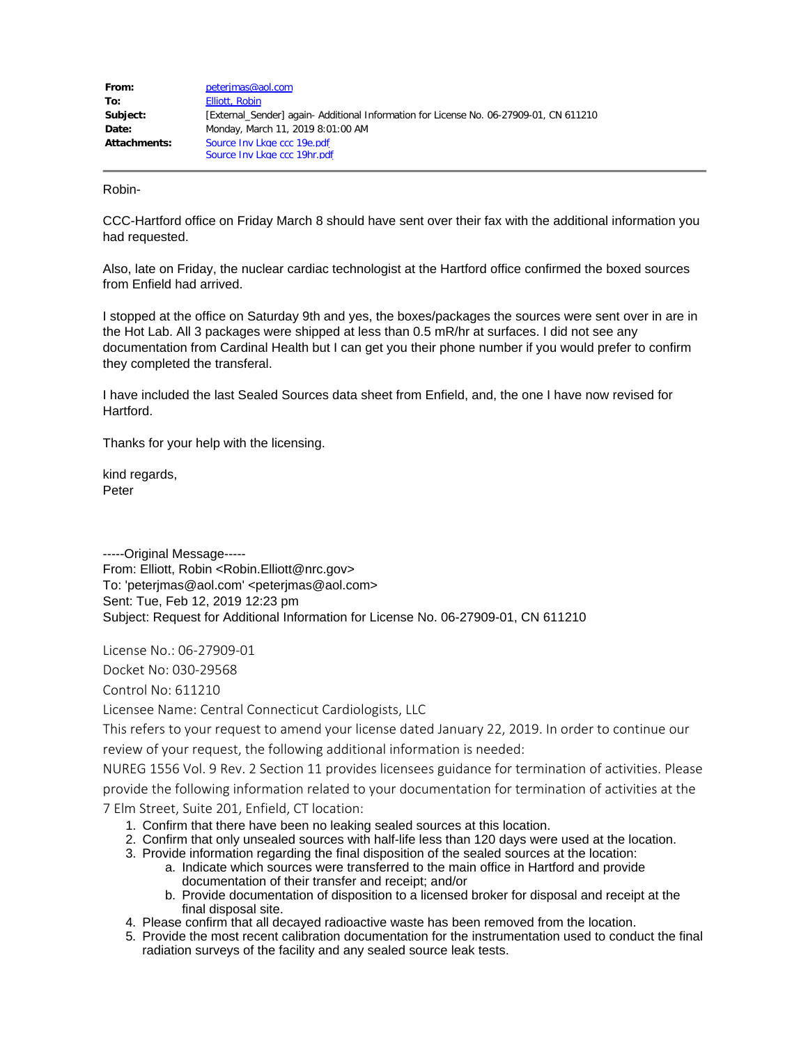| From:        | peterjmas@aol.com                                                                      |
|--------------|----------------------------------------------------------------------------------------|
| To:          | Elliott, Robin                                                                         |
| Subject:     | [External Sender] again- Additional Information for License No. 06-27909-01, CN 611210 |
| Date:        | Monday, March 11, 2019 8:01:00 AM                                                      |
| Attachments: | Source Inv Lkge ccc 19e.pdf                                                            |
|              | Source Inv Lkge ccc 19hr.pdf                                                           |

Robin-

CCC-Hartford office on Friday March 8 should have sent over their fax with the additional information you had requested.

Also, late on Friday, the nuclear cardiac technologist at the Hartford office confirmed the boxed sources from Enfield had arrived.

I stopped at the office on Saturday 9th and yes, the boxes/packages the sources were sent over in are in the Hot Lab. All 3 packages were shipped at less than 0.5 mR/hr at surfaces. I did not see any documentation from Cardinal Health but I can get you their phone number if you would prefer to confirm they completed the transferal.

I have included the last Sealed Sources data sheet from Enfield, and, the one I have now revised for Hartford.

Thanks for your help with the licensing.

kind regards, Peter

-----Original Message----- From: Elliott, Robin <Robin.Elliott@nrc.gov> To: 'peterjmas@aol.com' <peterjmas@aol.com> Sent: Tue, Feb 12, 2019 12:23 pm Subject: Request for Additional Information for License No. 06-27909-01, CN 611210

License No.: 06-27909-01

Docket No: 030-29568

Control No: 611210

Licensee Name: Central Connecticut Cardiologists, LLC

This refers to your request to amend your license dated January 22, 2019. In order to continue our review of your request, the following additional information is needed:

NUREG 1556 Vol. 9 Rev. 2 Section 11 provides licensees guidance for termination of activities. Please provide the following information related to your documentation for termination of activities at the 7 Elm Street, Suite 201, Enfield, CT location:

- 1. Confirm that there have been no leaking sealed sources at this location.
- 2. Confirm that only unsealed sources with half-life less than 120 days were used at the location.
- 3. Provide information regarding the final disposition of the sealed sources at the location:
	- a. Indicate which sources were transferred to the main office in Hartford and provide documentation of their transfer and receipt; and/or
	- b. Provide documentation of disposition to a licensed broker for disposal and receipt at the final disposal site.
- 4. Please confirm that all decayed radioactive waste has been removed from the location.
- 5. Provide the most recent calibration documentation for the instrumentation used to conduct the final radiation surveys of the facility and any sealed source leak tests.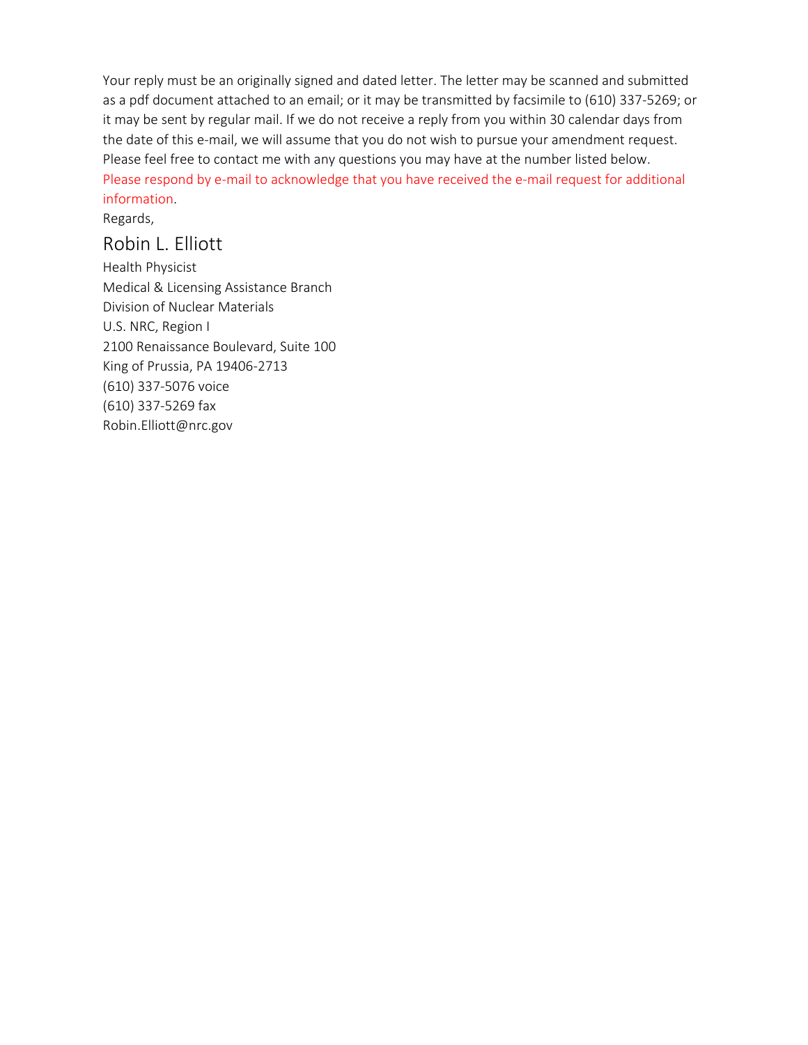Your reply must be an originally signed and dated letter. The letter may be scanned and submitted as a pdf document attached to an email; or it may be transmitted by facsimile to (610) 337-5269; or it may be sent by regular mail. If we do not receive a reply from you within 30 calendar days from the date of this e-mail, we will assume that you do not wish to pursue your amendment request. Please feel free to contact me with any questions you may have at the number listed below. Please respond by e-mail to acknowledge that you have received the e-mail request for additional information.

Regards,

## Robin L. Elliott

Health Physicist Medical & Licensing Assistance Branch Division of Nuclear Materials U.S. NRC, Region I 2100 Renaissance Boulevard, Suite 100 King of Prussia, PA 19406-2713 (610) 337-5076 voice (610) 337-5269 fax Robin.Elliott@nrc.gov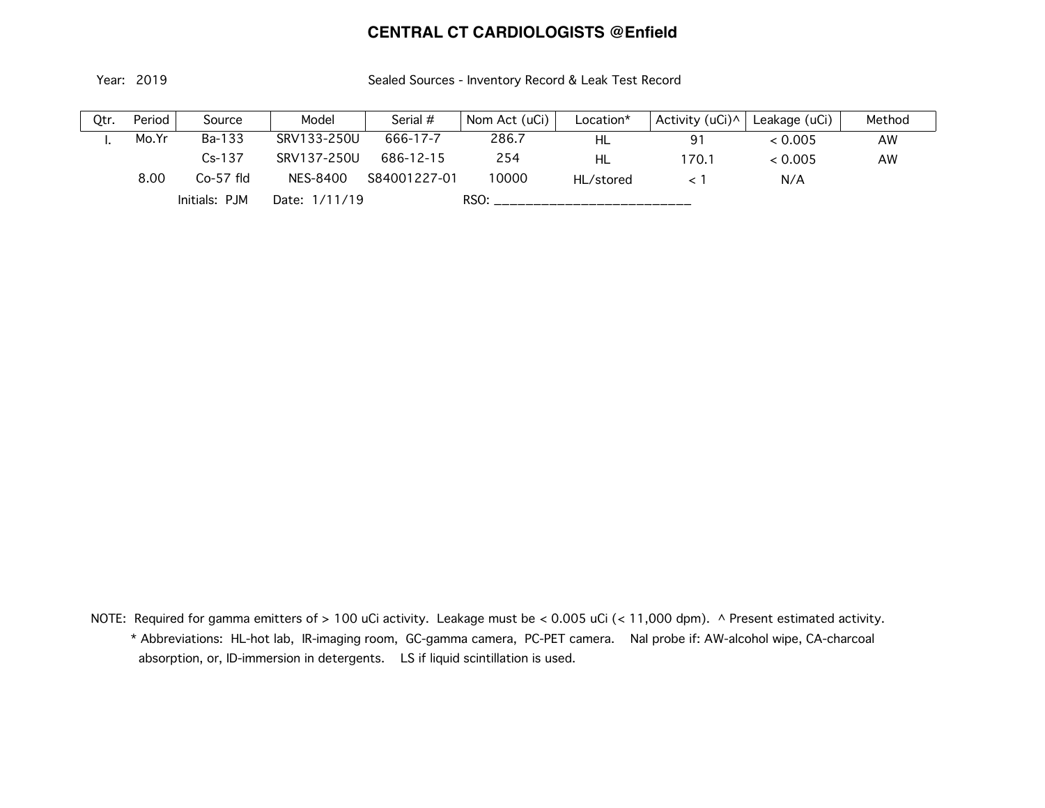## **CENTRAL CT CARDIOLOGISTS @Enfield**

Year: 2019 Sealed Sources - Inventory Record & Leak Test Record

| 0tr. | Period | Source        | Model         | Serial $#$   | Nom Act (uCi) | Location* | Activity (uCi)^ | Leakage (uCi) | Method |
|------|--------|---------------|---------------|--------------|---------------|-----------|-----------------|---------------|--------|
| .,   | Mo Yr  | Ba-133        | SRV133-250U   | 666-17-7     | 286.7         | HL        | 91              | < 0.005       | AW     |
|      |        | $Cs-137$      | SRV137-250U   | 686-12-15    | 254           | HL        | 170.1           | < 0.005       | AW     |
|      | 8.00   | $Co-57$ fld   | NES-8400      | S84001227-01 | 10000         | HL/stored |                 | N/A           |        |
|      |        | Initials: PJM | Date: 1/11/19 |              | RSO:          |           |                 |               |        |

 NOTE: Required for gamma emitters of > 100 uCi activity. Leakage must be < 0.005 uCi (< 11,000 dpm). ^ Present estimated activity. \* Abbreviations: HL-hot lab, IR-imaging room, GC-gamma camera, PC-PET camera. NaI probe if: AW-alcohol wipe, CA-charcoal absorption, or, ID-immersion in detergents. LS if liquid scintillation is used.